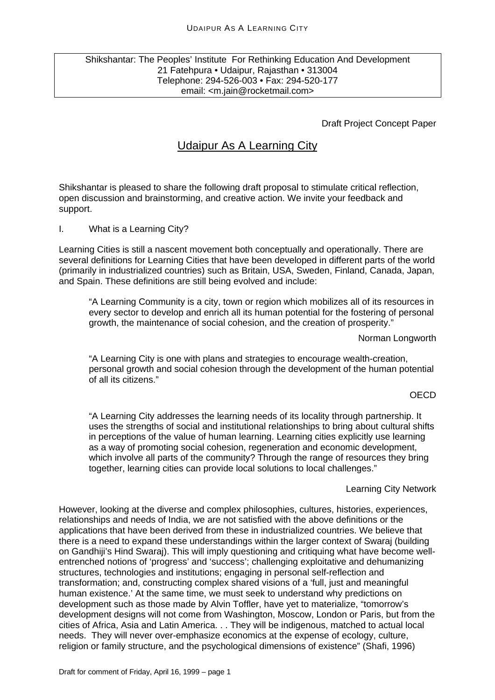### Shikshantar: The Peoples' Institute For Rethinking Education And Development 21 Fatehpura • Udaipur, Rajasthan • 313004 Telephone: 294-526-003 • Fax: 294-520-177 email: <m.jain@rocketmail.com>

### Draft Project Concept Paper

# Udaipur As A Learning City

Shikshantar is pleased to share the following draft proposal to stimulate critical reflection, open discussion and brainstorming, and creative action. We invite your feedback and support.

I. What is a Learning City?

Learning Cities is still a nascent movement both conceptually and operationally. There are several definitions for Learning Cities that have been developed in different parts of the world (primarily in industrialized countries) such as Britain, USA, Sweden, Finland, Canada, Japan, and Spain. These definitions are still being evolved and include:

"A Learning Community is a city, town or region which mobilizes all of its resources in every sector to develop and enrich all its human potential for the fostering of personal growth, the maintenance of social cohesion, and the creation of prosperity."

Norman Longworth

"A Learning City is one with plans and strategies to encourage wealth-creation, personal growth and social cohesion through the development of the human potential of all its citizens."

### OECD

"A Learning City addresses the learning needs of its locality through partnership. It uses the strengths of social and institutional relationships to bring about cultural shifts in perceptions of the value of human learning. Learning cities explicitly use learning as a way of promoting social cohesion, regeneration and economic development, which involve all parts of the community? Through the range of resources they bring together, learning cities can provide local solutions to local challenges."

### Learning City Network

However, looking at the diverse and complex philosophies, cultures, histories, experiences, relationships and needs of India, we are not satisfied with the above definitions or the applications that have been derived from these in industrialized countries. We believe that there is a need to expand these understandings within the larger context of Swaraj (building on Gandhiji's Hind Swaraj). This will imply questioning and critiquing what have become wellentrenched notions of 'progress' and 'success'; challenging exploitative and dehumanizing structures, technologies and institutions; engaging in personal self-reflection and transformation; and, constructing complex shared visions of a 'full, just and meaningful human existence.' At the same time, we must seek to understand why predictions on development such as those made by Alvin Toffler, have yet to materialize, "tomorrow's development designs will not come from Washington, Moscow, London or Paris, but from the cities of Africa, Asia and Latin America. . . They will be indigenous, matched to actual local needs. They will never over-emphasize economics at the expense of ecology, culture, religion or family structure, and the psychological dimensions of existence" (Shafi, 1996)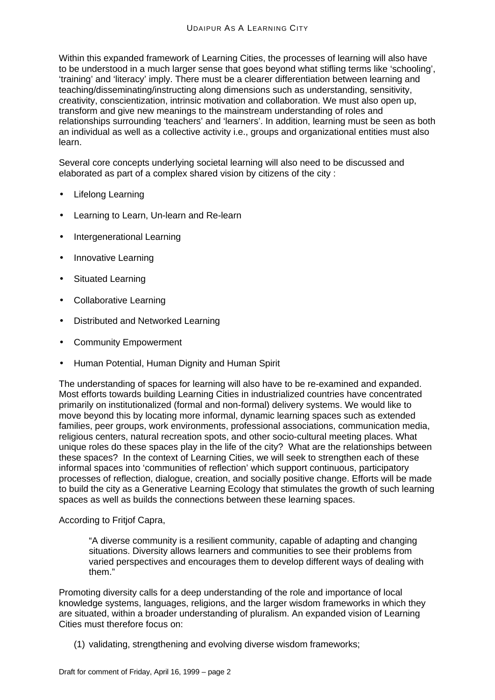Within this expanded framework of Learning Cities, the processes of learning will also have to be understood in a much larger sense that goes beyond what stifling terms like 'schooling', 'training' and 'literacy' imply. There must be a clearer differentiation between learning and teaching/disseminating/instructing along dimensions such as understanding, sensitivity, creativity, conscientization, intrinsic motivation and collaboration. We must also open up, transform and give new meanings to the mainstream understanding of roles and relationships surrounding 'teachers' and 'learners'. In addition, learning must be seen as both an individual as well as a collective activity i.e., groups and organizational entities must also learn.

Several core concepts underlying societal learning will also need to be discussed and elaborated as part of a complex shared vision by citizens of the city :

- Lifelong Learning
- Learning to Learn, Un-learn and Re-learn
- Intergenerational Learning
- Innovative Learning
- Situated Learning
- Collaborative Learning
- Distributed and Networked Learning
- Community Empowerment
- Human Potential, Human Dignity and Human Spirit

The understanding of spaces for learning will also have to be re-examined and expanded. Most efforts towards building Learning Cities in industrialized countries have concentrated primarily on institutionalized (formal and non-formal) delivery systems. We would like to move beyond this by locating more informal, dynamic learning spaces such as extended families, peer groups, work environments, professional associations, communication media, religious centers, natural recreation spots, and other socio-cultural meeting places. What unique roles do these spaces play in the life of the city? What are the relationships between these spaces? In the context of Learning Cities, we will seek to strengthen each of these informal spaces into 'communities of reflection' which support continuous, participatory processes of reflection, dialogue, creation, and socially positive change. Efforts will be made to build the city as a Generative Learning Ecology that stimulates the growth of such learning spaces as well as builds the connections between these learning spaces.

### According to Fritjof Capra,

"A diverse community is a resilient community, capable of adapting and changing situations. Diversity allows learners and communities to see their problems from varied perspectives and encourages them to develop different ways of dealing with them."

Promoting diversity calls for a deep understanding of the role and importance of local knowledge systems, languages, religions, and the larger wisdom frameworks in which they are situated, within a broader understanding of pluralism. An expanded vision of Learning Cities must therefore focus on:

(1) validating, strengthening and evolving diverse wisdom frameworks;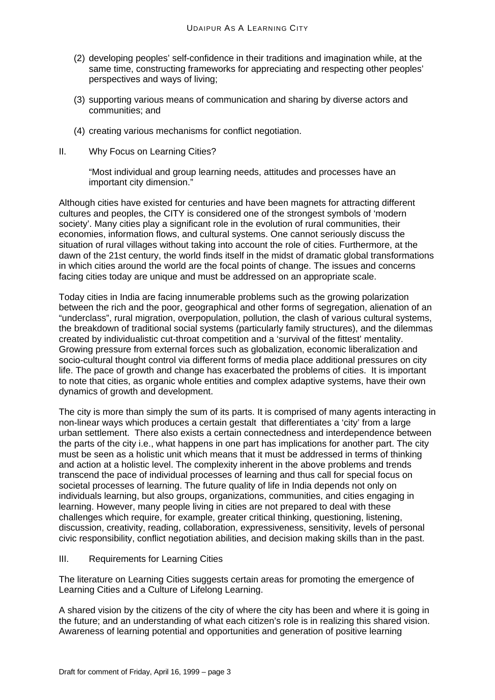- (2) developing peoples' self-confidence in their traditions and imagination while, at the same time, constructing frameworks for appreciating and respecting other peoples' perspectives and ways of living;
- (3) supporting various means of communication and sharing by diverse actors and communities; and
- (4) creating various mechanisms for conflict negotiation.
- II. Why Focus on Learning Cities?

"Most individual and group learning needs, attitudes and processes have an important city dimension."

Although cities have existed for centuries and have been magnets for attracting different cultures and peoples, the CITY is considered one of the strongest symbols of 'modern society'. Many cities play a significant role in the evolution of rural communities, their economies, information flows, and cultural systems. One cannot seriously discuss the situation of rural villages without taking into account the role of cities. Furthermore, at the dawn of the 21st century, the world finds itself in the midst of dramatic global transformations in which cities around the world are the focal points of change. The issues and concerns facing cities today are unique and must be addressed on an appropriate scale.

Today cities in India are facing innumerable problems such as the growing polarization between the rich and the poor, geographical and other forms of segregation, alienation of an "underclass", rural migration, overpopulation, pollution, the clash of various cultural systems, the breakdown of traditional social systems (particularly family structures), and the dilemmas created by individualistic cut-throat competition and a 'survival of the fittest' mentality. Growing pressure from external forces such as globalization, economic liberalization and socio-cultural thought control via different forms of media place additional pressures on city life. The pace of growth and change has exacerbated the problems of cities. It is important to note that cities, as organic whole entities and complex adaptive systems, have their own dynamics of growth and development.

The city is more than simply the sum of its parts. It is comprised of many agents interacting in non-linear ways which produces a certain gestalt that differentiates a 'city' from a large urban settlement. There also exists a certain connectedness and interdependence between the parts of the city i.e., what happens in one part has implications for another part. The city must be seen as a holistic unit which means that it must be addressed in terms of thinking and action at a holistic level. The complexity inherent in the above problems and trends transcend the pace of individual processes of learning and thus call for special focus on societal processes of learning. The future quality of life in India depends not only on individuals learning, but also groups, organizations, communities, and cities engaging in learning. However, many people living in cities are not prepared to deal with these challenges which require, for example, greater critical thinking, questioning, listening, discussion, creativity, reading, collaboration, expressiveness, sensitivity, levels of personal civic responsibility, conflict negotiation abilities, and decision making skills than in the past.

III. Requirements for Learning Cities

The literature on Learning Cities suggests certain areas for promoting the emergence of Learning Cities and a Culture of Lifelong Learning.

A shared vision by the citizens of the city of where the city has been and where it is going in the future; and an understanding of what each citizen's role is in realizing this shared vision. Awareness of learning potential and opportunities and generation of positive learning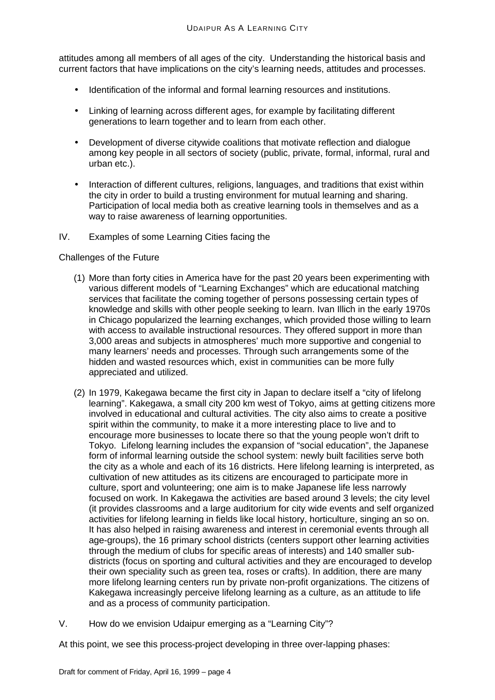attitudes among all members of all ages of the city. Understanding the historical basis and current factors that have implications on the city's learning needs, attitudes and processes.

- Identification of the informal and formal learning resources and institutions.
- Linking of learning across different ages, for example by facilitating different generations to learn together and to learn from each other.
- Development of diverse citywide coalitions that motivate reflection and dialogue among key people in all sectors of society (public, private, formal, informal, rural and urban etc.).
- Interaction of different cultures, religions, languages, and traditions that exist within the city in order to build a trusting environment for mutual learning and sharing. Participation of local media both as creative learning tools in themselves and as a way to raise awareness of learning opportunities.
- IV. Examples of some Learning Cities facing the

### Challenges of the Future

- (1) More than forty cities in America have for the past 20 years been experimenting with various different models of "Learning Exchanges" which are educational matching services that facilitate the coming together of persons possessing certain types of knowledge and skills with other people seeking to learn. Ivan Illich in the early 1970s in Chicago popularized the learning exchanges, which provided those willing to learn with access to available instructional resources. They offered support in more than 3,000 areas and subjects in atmospheres' much more supportive and congenial to many learners' needs and processes. Through such arrangements some of the hidden and wasted resources which, exist in communities can be more fully appreciated and utilized.
- (2) In 1979, Kakegawa became the first city in Japan to declare itself a "city of lifelong learning". Kakegawa, a small city 200 km west of Tokyo, aims at getting citizens more involved in educational and cultural activities. The city also aims to create a positive spirit within the community, to make it a more interesting place to live and to encourage more businesses to locate there so that the young people won't drift to Tokyo. Lifelong learning includes the expansion of "social education", the Japanese form of informal learning outside the school system: newly built facilities serve both the city as a whole and each of its 16 districts. Here lifelong learning is interpreted, as cultivation of new attitudes as its citizens are encouraged to participate more in culture, sport and volunteering; one aim is to make Japanese life less narrowly focused on work. In Kakegawa the activities are based around 3 levels; the city level (it provides classrooms and a large auditorium for city wide events and self organized activities for lifelong learning in fields like local history, horticulture, singing an so on. It has also helped in raising awareness and interest in ceremonial events through all age-groups), the 16 primary school districts (centers support other learning activities through the medium of clubs for specific areas of interests) and 140 smaller subdistricts (focus on sporting and cultural activities and they are encouraged to develop their own speciality such as green tea, roses or crafts). In addition, there are many more lifelong learning centers run by private non-profit organizations. The citizens of Kakegawa increasingly perceive lifelong learning as a culture, as an attitude to life and as a process of community participation.
- V. How do we envision Udaipur emerging as a "Learning City"?

At this point, we see this process-project developing in three over-lapping phases: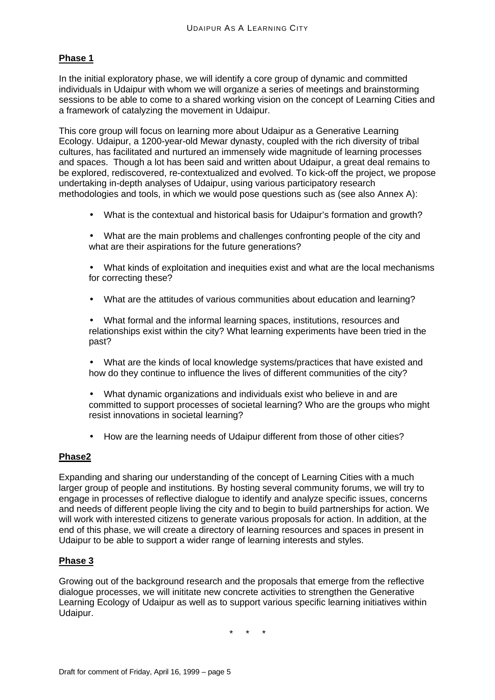### **Phase 1**

In the initial exploratory phase, we will identify a core group of dynamic and committed individuals in Udaipur with whom we will organize a series of meetings and brainstorming sessions to be able to come to a shared working vision on the concept of Learning Cities and a framework of catalyzing the movement in Udaipur.

This core group will focus on learning more about Udaipur as a Generative Learning Ecology. Udaipur, a 1200-year-old Mewar dynasty, coupled with the rich diversity of tribal cultures, has facilitated and nurtured an immensely wide magnitude of learning processes and spaces. Though a lot has been said and written about Udaipur, a great deal remains to be explored, rediscovered, re-contextualized and evolved. To kick-off the project, we propose undertaking in-depth analyses of Udaipur, using various participatory research methodologies and tools, in which we would pose questions such as (see also Annex A):

- What is the contextual and historical basis for Udaipur's formation and growth?
- What are the main problems and challenges confronting people of the city and what are their aspirations for the future generations?
- What kinds of exploitation and inequities exist and what are the local mechanisms for correcting these?
- What are the attitudes of various communities about education and learning?
- What formal and the informal learning spaces, institutions, resources and relationships exist within the city? What learning experiments have been tried in the past?
- What are the kinds of local knowledge systems/practices that have existed and how do they continue to influence the lives of different communities of the city?
- What dynamic organizations and individuals exist who believe in and are committed to support processes of societal learning? Who are the groups who might resist innovations in societal learning?
- How are the learning needs of Udaipur different from those of other cities?

### **Phase2**

Expanding and sharing our understanding of the concept of Learning Cities with a much larger group of people and institutions. By hosting several community forums, we will try to engage in processes of reflective dialogue to identify and analyze specific issues, concerns and needs of different people living the city and to begin to build partnerships for action. We will work with interested citizens to generate various proposals for action. In addition, at the end of this phase, we will create a directory of learning resources and spaces in present in Udaipur to be able to support a wider range of learning interests and styles.

### **Phase 3**

Growing out of the background research and the proposals that emerge from the reflective dialogue processes, we will inititate new concrete activities to strengthen the Generative Learning Ecology of Udaipur as well as to support various specific learning initiatives within Udaipur.

\* \* \*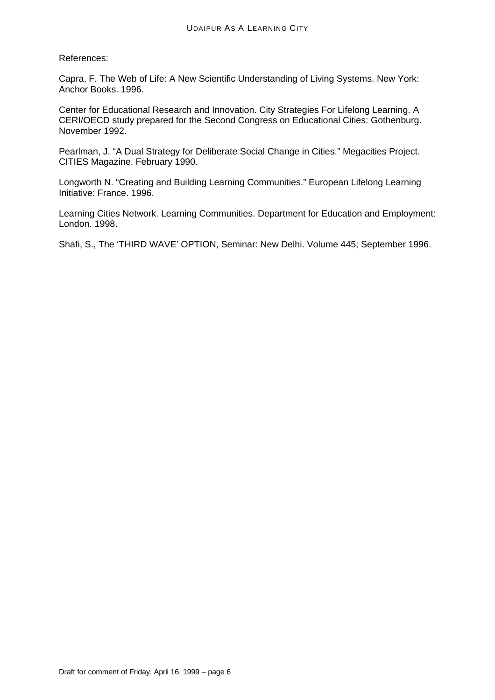References:

Capra, F. The Web of Life: A New Scientific Understanding of Living Systems. New York: Anchor Books. 1996.

Center for Educational Research and Innovation. City Strategies For Lifelong Learning. A CERI/OECD study prepared for the Second Congress on Educational Cities: Gothenburg. November 1992.

Pearlman, J. "A Dual Strategy for Deliberate Social Change in Cities." Megacities Project. CITIES Magazine. February 1990.

Longworth N. "Creating and Building Learning Communities." European Lifelong Learning Initiative: France. 1996.

Learning Cities Network. Learning Communities. Department for Education and Employment: London. 1998.

Shafi, S., The 'THIRD WAVE' OPTION, Seminar: New Delhi. Volume 445; September 1996.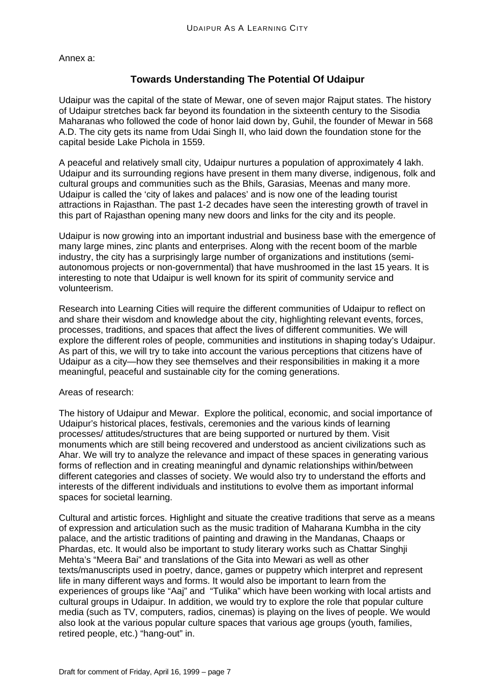Annex a:

## **Towards Understanding The Potential Of Udaipur**

Udaipur was the capital of the state of Mewar, one of seven major Rajput states. The history of Udaipur stretches back far beyond its foundation in the sixteenth century to the Sisodia Maharanas who followed the code of honor laid down by, Guhil, the founder of Mewar in 568 A.D. The city gets its name from Udai Singh II, who laid down the foundation stone for the capital beside Lake Pichola in 1559.

A peaceful and relatively small city, Udaipur nurtures a population of approximately 4 lakh. Udaipur and its surrounding regions have present in them many diverse, indigenous, folk and cultural groups and communities such as the Bhils, Garasias, Meenas and many more. Udaipur is called the 'city of lakes and palaces' and is now one of the leading tourist attractions in Rajasthan. The past 1-2 decades have seen the interesting growth of travel in this part of Rajasthan opening many new doors and links for the city and its people.

Udaipur is now growing into an important industrial and business base with the emergence of many large mines, zinc plants and enterprises. Along with the recent boom of the marble industry, the city has a surprisingly large number of organizations and institutions (semiautonomous projects or non-governmental) that have mushroomed in the last 15 years. It is interesting to note that Udaipur is well known for its spirit of community service and volunteerism.

Research into Learning Cities will require the different communities of Udaipur to reflect on and share their wisdom and knowledge about the city, highlighting relevant events, forces, processes, traditions, and spaces that affect the lives of different communities. We will explore the different roles of people, communities and institutions in shaping today's Udaipur. As part of this, we will try to take into account the various perceptions that citizens have of Udaipur as a city—how they see themselves and their responsibilities in making it a more meaningful, peaceful and sustainable city for the coming generations.

### Areas of research:

The history of Udaipur and Mewar. Explore the political, economic, and social importance of Udaipur's historical places, festivals, ceremonies and the various kinds of learning processes/ attitudes/structures that are being supported or nurtured by them. Visit monuments which are still being recovered and understood as ancient civilizations such as Ahar. We will try to analyze the relevance and impact of these spaces in generating various forms of reflection and in creating meaningful and dynamic relationships within/between different categories and classes of society. We would also try to understand the efforts and interests of the different individuals and institutions to evolve them as important informal spaces for societal learning.

Cultural and artistic forces. Highlight and situate the creative traditions that serve as a means of expression and articulation such as the music tradition of Maharana Kumbha in the city palace, and the artistic traditions of painting and drawing in the Mandanas, Chaaps or Phardas, etc. It would also be important to study literary works such as Chattar Singhji Mehta's "Meera Bai" and translations of the Gita into Mewari as well as other texts/manuscripts used in poetry, dance, games or puppetry which interpret and represent life in many different ways and forms. It would also be important to learn from the experiences of groups like "Aaj" and "Tulika" which have been working with local artists and cultural groups in Udaipur. In addition, we would try to explore the role that popular culture media (such as TV, computers, radios, cinemas) is playing on the lives of people. We would also look at the various popular culture spaces that various age groups (youth, families, retired people, etc.) "hang-out" in.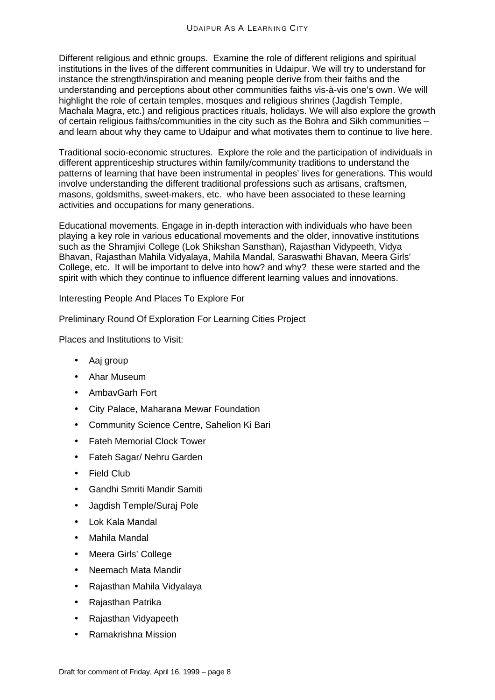Different religious and ethnic groups. Examine the role of different religions and spiritual institutions in the lives of the different communities in Udaipur. We will try to understand for instance the strength/inspiration and meaning people derive from their faiths and the understanding and perceptions about other communities faiths vis-à-vis one's own. We will highlight the role of certain temples, mosques and religious shrines (Jagdish Temple, Machala Magra, etc.) and religious practices rituals, holidays. We will also explore the growth of certain religious faiths/communities in the city such as the Bohra and Sikh communities – and learn about why they came to Udaipur and what motivates them to continue to live here.

Traditional socio-economic structures. Explore the role and the participation of individuals in different apprenticeship structures within family/community traditions to understand the patterns of learning that have been instrumental in peoples' lives for generations. This would involve understanding the different traditional professions such as artisans, craftsmen, masons, goldsmiths, sweet-makers, etc. who have been associated to these learning activities and occupations for many generations.

Educational movements. Engage in in-depth interaction with individuals who have been playing a key role in various educational movements and the older, innovative institutions such as the Shramjivi College (Lok Shikshan Sansthan), Rajasthan Vidypeeth, Vidya Bhavan, Rajasthan Mahila Vidyalaya, Mahila Mandal, Saraswathi Bhavan, Meera Girls' College, etc. It will be important to delve into how? and why? these were started and the spirit with which they continue to influence different learning values and innovations.

Interesting People And Places To Explore For

Preliminary Round Of Exploration For Learning Cities Project

Places and Institutions to Visit:

- Aaj group
- Ahar Museum
- AmbavGarh Fort
- City Palace, Maharana Mewar Foundation
- Community Science Centre, Sahelion Ki Bari
- Fateh Memorial Clock Tower
- Fateh Sagar/ Nehru Garden
- Field Club
- Gandhi Smriti Mandir Samiti
- Jagdish Temple/Suraj Pole
- Lok Kala Mandal
- Mahila Mandal
- Meera Girls' College
- Neemach Mata Mandir
- Rajasthan Mahila Vidyalaya
- Rajasthan Patrika
- Rajasthan Vidyapeeth
- Ramakrishna Mission